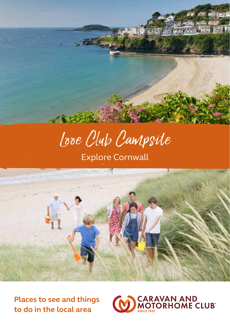

# Looe Club Campsite

Explore Cornwall



**Places to see and things to do in the local area**

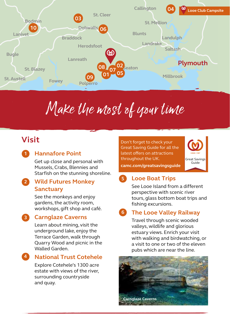

# Make the most of your time

# **Visit**

**1**

### **Hannafore Point**

Get up close and personal with Mussels, Crabs, Blennies and Starfish on the stunning shoreline.

#### **Wild Futures Monkey Sanctuary 2**

See the monkeys and enjoy gardens, the activity room, workshops, gift shop and café.

### **3**

### **Carnglaze Caverns**

Learn about mining, visit the underground lake, enjoy the Terrace Garden, walk through Quarry Wood and picnic in the Walled Garden.

#### **National Trust Cotehele 4**

Explore Cotehele's 1300 acre estate with views of the river, surrounding countryside and quay.

Don't forget to check your Great Saving Guide for all the latest offers on attractions throughout the UK.



#### **camc.com/greatsavingsguide**

#### **Looe Boat Trips 5**

See Looe Island from a different perspective with scenic river tours, glass bottom boat trips and fishing excursions.

#### **The Looe Valley Railway 6**

Travel through scenic wooded valleys, wildlife and glorious estuary views. Enrich your visit with walking and birdwatching, or a visit to one or two of the eleven pubs which are near the line.

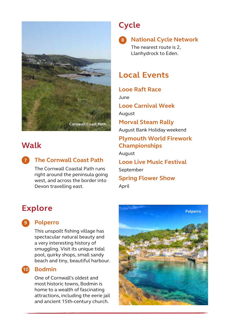

# **Walk**

**7**

## **The Cornwall Coast Path**

The Cornwall Coastal Path runs right around the peninsula going west, and across the border into Devon travelling east.

## **Explore**

### **Polperro 9**

This unspoilt fishing village has spectacular natural beauty and a very interesting history of smuggling. Visit its unique tidal pool, quirky shops, small sandy beach and tiny, beautiful harbour.

#### **Bodmin 10**

One of Cornwall's oldest and most historic towns, Bodmin is home to a wealth of fascinating attractions, including the eerie jail and ancient 15th-century church.

# **Cycle**

**8**

### **National Cycle Network**

The nearest route is 2, Llanhydrock to Eden.

# **Local Events**

**Looe Raft Race** June **Looe Carnival Week** August **Morval Steam Rally** August Bank Holiday weekend **Plymouth World Firework Championships**  August **Looe Live Music Festival**  September **Spring Flower Show** April